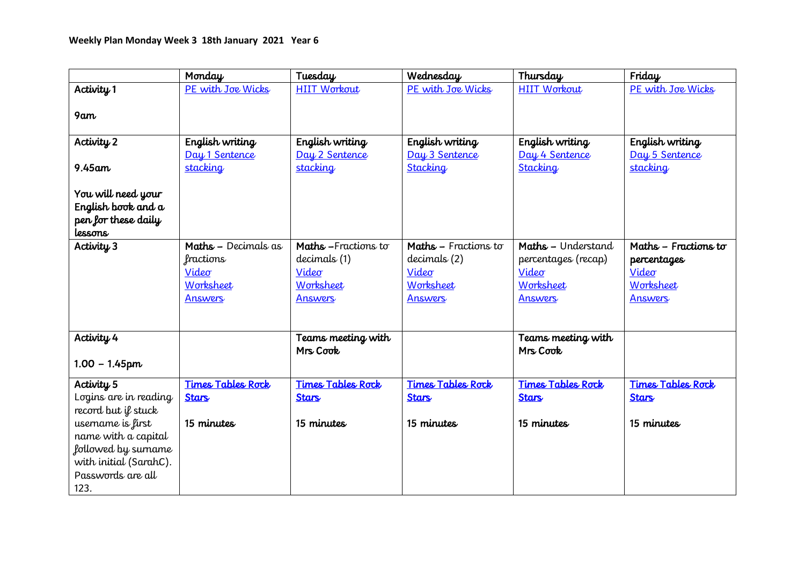|                        | Monday                     | Tuesday                        | Wednesday                | Thursday                       | Friday                   |
|------------------------|----------------------------|--------------------------------|--------------------------|--------------------------------|--------------------------|
| Activity 1             | PE with Joe Wicks          | <b>HIIT Workout</b>            | PE with Joe Wicks        | <b>HIIT Workout</b>            | PE with Joe Wicks        |
|                        |                            |                                |                          |                                |                          |
| 9am                    |                            |                                |                          |                                |                          |
| Activity 2             | English writing            | English writing                | English writing          | English writing                | English writing          |
|                        | Day 1 Sentence             | Day 2 Sentence                 | Day 3 Sentence           | Day 4 Sentence                 | Day 5 Sentence           |
| $9.45$ am              | stacking                   | stacking                       | Stacking                 | Stacking                       | stacking                 |
|                        |                            |                                |                          |                                |                          |
| You will need your     |                            |                                |                          |                                |                          |
| English book and a     |                            |                                |                          |                                |                          |
| pen for these daily    |                            |                                |                          |                                |                          |
| lessons                |                            |                                |                          |                                |                          |
| Activity 3             | <b>Maths - Decimals as</b> | Maths-Fractions to             | Maths - Fractions to     | Maths - Understand             | Maths - Fractions to     |
|                        | fractions                  | decimals (1)                   | decimals (2)             | percentages (recap)            | percentages              |
|                        | Video                      | Video                          | Video                    | Video                          | Video                    |
|                        | Worksheet                  | Worksheet                      | Worksheet                | Worksheet                      | Worksheet                |
|                        | <b>Answers</b>             | <b>Answers</b>                 | <b>Answers</b>           | <b>Answers</b>                 | <b>Answers</b>           |
|                        |                            |                                |                          |                                |                          |
|                        |                            |                                |                          |                                |                          |
| Activity 4             |                            | Teams meeting with<br>Mrs Cook |                          | Teams meeting with<br>Mrs Cook |                          |
|                        |                            |                                |                          |                                |                          |
| $1.00 - 1.45$ pm       |                            |                                |                          |                                |                          |
| Activity 5             | <b>Times Tables Rock</b>   | <b>Times Tables Rock</b>       | <b>Times Tables Rock</b> | <b>Times Tables Rock</b>       | <b>Times Tables Rock</b> |
| Logins are in reading  | <b>Stars</b>               | <b>Stars</b>                   | <b>Stars</b>             | <b>Stars</b>                   | <b>Stars</b>             |
| record but if stuck    |                            |                                |                          |                                |                          |
| username is first      | 15 minutes                 | 15 minutes                     | 15 minutes               | 15 minutes                     | 15 minutes               |
| name with a capital    |                            |                                |                          |                                |                          |
| followed by surname    |                            |                                |                          |                                |                          |
| with initial (SarahC). |                            |                                |                          |                                |                          |
| Passwords are all      |                            |                                |                          |                                |                          |
| 123.                   |                            |                                |                          |                                |                          |